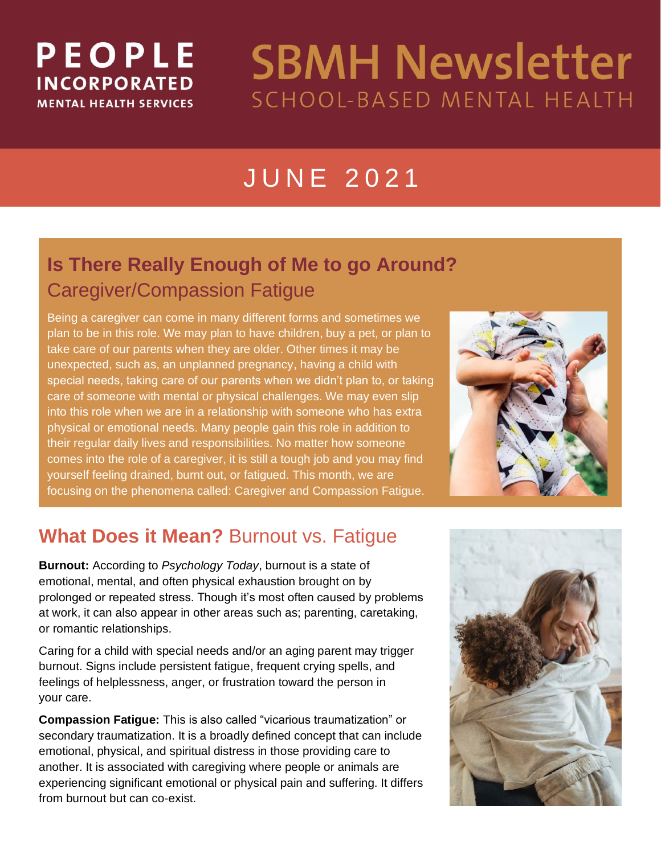# PEOPLE **INCORPORATED MENTAL HEALTH SERVICES**

# **SBMH Newsletter SCHOOL-BASED MENTAL HEALTH**

# J U N E 2 0 2 1

# **Is There Really Enough of Me to go Around?**  Caregiver/Compassion Fatigue

Being a caregiver can come in many different forms and sometimes we plan to be in this role. We may plan to have children, buy a pet, or plan to take care of our parents when they are older. Other times it may be unexpected, such as, an unplanned pregnancy, having a child with special needs, taking care of our parents when we didn't plan to, or taking care of someone with mental or physical challenges. We may even slip into this role when we are in a relationship with someone who has extra physical or emotional needs. Many people gain this role in addition to their regular daily lives and responsibilities. No matter how someone comes into the role of a caregiver, it is still a tough job and you may find yourself feeling drained, burnt out, or fatigued. This month, we are focusing on the phenomena called: Caregiver and Compassion Fatigue.



#### **What Does it Mean?** Burnout vs. Fatigue

**Burnout:** According to *Psychology Today*, burnout is a state of emotional, mental, and often physical exhaustion brought on by prolonged or repeated stress. Though it's most often caused by problems at work, it can also appear in other areas such as; parenting, caretaking, or romantic relationships.

Caring for a child with special needs and/or an aging parent may trigger burnout. Signs include persistent fatigue, frequent crying spells, and feelings of helplessness, anger, or frustration toward the person in your care.

**Compassion Fatigue:** This is also called "vicarious traumatization" or secondary traumatization. It is a broadly defined concept that can include emotional, physical, and spiritual distress in those providing care to another. It is associated with caregiving where people or animals are experiencing significant emotional or physical pain and suffering. It differs from burnout but can co-exist.